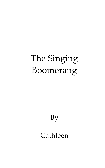# The Singing Boomerang

By

Cathleen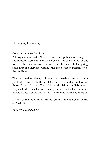The Singing Boomerang

#### Copyright © 2009 Cathleen

All rights reserved. No part of this publication may be reproduced, stored in a retrieval system or transmitted in any form or by any means, electronic, mechanical, photocopying, recording or otherwise, without the prior written permission of the publisher.

The information, views, opinions and visuals expressed in this publication are solely those of the author(s) and do not reflect those of the publisher. The publisher disclaims any liabilities or responsibilities whatsoever for any damages, libel or liabilities arising directly or indirectly from the contents of this publication.

A copy of this publication can be found in the National Library of Australia.

ISBN 978-0-646-56993-2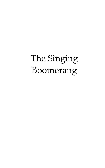# The Singing Boomerang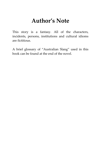#### **Author's Note**

This story is a fantasy. All of the characters, incidents, persons, institutions and cultural idioms are fictitious.

A brief glossary of 'Australian Slang' used in this book can be found at the end of the novel.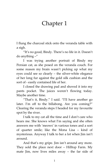### Chapter 1

I flung the charcoal stick onto the veranda table with a sigh.

'It's no good, Bindy. There's no life in it. Doesn't do anything –'

I was trying another portrait of Bindy my Persian cat, as she posed on the veranda couch. For some reason my brain wasn't picking up what my eyes could see so clearly – the silver-white elegance of her long fur against the gold silk cushion and the sort of - easily contained life of her.

I closed the drawing pad and shoved it into my pants pocket. The juices weren't flowing today. Maybe another time.

'That's it, Bindy.' I said. 'I'll have another go later. I'm off to the billabong. Are you coming?" Clearing the veranda steps I headed for my favourite spot by the river.

I talk to my cat all the time and I don't care who hears me. She knows what I'm saying and she often answers me with 'meows' in various tones and a sort of quarter smile; like the Mona Lisa – kind of mysterious. Anyway I talk to her a lot when Jim isn't around.

And that's my gripe. Jim isn't around any more. They sold the place next door – Hilltop Farm. My mate Jim, now lives miles away – the far side of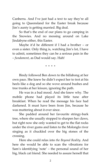Canberra. And I've just had a text to say they're all going to Queensland for the Easter break because Jim's aunty is getting married. Big deal.

So that's the end of our plans to go camping in the Snowies. And no messing around on Lake Jindabyne either, this Easter.

Maybe it'd be different if I had a brother – or even a sister. Only thing is, watching Jim's lot, I have to admit, sometimes they can be a serious pain in the – *fundament*, as Dad would say. Hah!

\* \* \* \*

Bindy followed Ben down to the billabong at her own pace. She knew he didn't expect her to trot at his heels like a dog and so she wove around bushes and tree trunks at her leisure, ignoring the path.

He was in a bad mood. And she knew why. The mobile phone had played its little tune after breakfast. When he read the message his face had darkened. It must have been from Jim, because he was muttering about it ever since.

She padded around her favourite stringy-bark tree, where she usually stopped to sharpen her claws, but right now she only wanted to get to the flat rocks under the river gums and listen to the Molonglo river singing as it chuckled over the big stones of the crossing.

Here she could relax into *the Beyond Reality*. And here she would be able to scan the vibrations for Sam's identifying 'note' – the personal sound of her big, black cat friend. She needed to assure herself that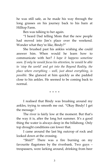he was still safe, as he made his way through the long grasses on his journey back to his barn at Hilltop Farm.

Ben was talking to her again.

'I heard Dad telling Mom that the new people had moved into Jim's place over the weekend. Wonder what they're like, Bindy?'

She brushed past his ankles wishing she could answer him. When would he learn how to communicate with her? *I hope it happens sometime soon. If only he would focus his attention, he would be able to 'stop the world' and get into the Beyond Reality, the place where everything – well, just about everything, is possible.* She glanced at him quickly as she padded close to his ankles. He seemed to be coming back to normal.

\* \* \* \*

I realised that Bindy was brushing around my ankles, trying to smooth me out. 'Okay Bindy! I get the message.'

The river is fairly low at the moment. But that's the way it is, after the long hot summer. It's a good thing the water is always deep in the billabong. Only top drought conditions can lower that.

I came around the last big outcrop of rock and looked down at the crossing.

"Shiii!!" There was a fire burning on my favourite flagstones by the riverbank. Two guys – trespassers, were larking around, drinking from beer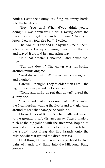bottles. I saw the skinny jerk fling his empty bottle into the billabong!

'Hey! You two! What d'you think you're doing?' I was damn-well furious, racing down the track, trying to get my hands on them. 'Don't you know there's a total fire-ban?' I yelled.

The two louts grinned like hyenas. One of them, a big brute, picked up a flaming branch from the fire and waved it around in a menacing way.

'Put that down,' I shouted, 'and douse that fire!'

'Put that down!' The clown was lumbering around, mimicking me.

'And douse that fire!' the skinny one sang out, and laughed.

Careful, I thought. They're older than I am – the big brute anyway – and he looks mean.

'Come and make us put that down!' dared the skinny one.

'Come and make us douse that fire!' chanted the Neanderthal, waving the live brand and glancing around to see what damage he could do.

I looked back at Bindy. She had flattened herself to the ground, a safe distance away. Then I made a rush at the big yobbo with the firebrand, hoping to knock it into the water. But before I could reach him, the stupid idiot flung the live branch onto the hillside, where it ignited the dried grasses.

Next thing I knew, I was being grabbed by two pairs of hands and flung into the billabong. Fully dressed.

\* \* \* \*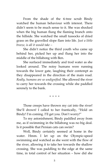From the shade of the ti-tree scrub Bindy watched the human behaviour with interest. There didn't seem to be much sense to it. She was shocked when the big human flung the flaming branch onto the hillside. She watched the small tussocks of dried grass on the gravelled slope flare into life. *Just a little breeze, is all it would take –*

She didn't notice the third youth who came up behind her, picked her up and flung her into the middle of the billabong with Ben.

She surfaced immediately and trod water as she looked around. The noisy humans were running towards the lower gate, laughing their contempt as they disappeared in the direction of the main road. *Really, humans are so undignified.* She allowed the river to carry her towards the crossing while she paddled serenely to the bank.

\* \* \* \*

Those creeps have thrown my cat into the river! She'll drown! I called to her frantically, "Hold on Bindy! I'm coming. I'll get you. Don't worry!'

To my astonishment, Bindy paddled away from me, as if swimming in the billabong was no big deal. Is it possible that Persian cats can swim?

Well, Bindy certainly seemed at home in the water. Hmm. I let up on the Olympic-speed swimming and watched as she went with the flow of the river, allowing it to take her towards the shallow crossing. She was paddling to the edge at the same time, in total control of her situation – how did she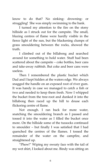know to do that? No sinking- drowning- or struggling! She was simply swimming to the bank.

I turned my attention to the fire on the stony hillside as I struck out for the campsite. The small, blazing centres of flame were hardly visible in the fierce light of the sun, but the blackening clumps of grass smouldering between the rocks, showed the truth.

I climbed out of the billabong and searched around for something to hold water. Stuff had been scattered about the campsite – coke bottles, beer cans and take-away rubbish. But coke and beer cans were useless.

Then I remembered the plastic bucket which Dad and I kept hidden at the waters edge. We always snagged the handle on an exposed root of river gum. It was handy in case we managed to catch a fish or two and needed to keep them fresh. Now I whipped the bucket from the tree-root and dunked it into the billabong then raced up the hill to douse each flickering centre of flame.

Not enough. I ran back for more water, snatching the smouldering branch as I passed and tossed it into the water as I filled the bucket once more. On the hillside some of the tussocks continued to smoulder – but finally I was satisfied that I had quenched the centres of the flames. I tossed the remainder of the water on the campfire, and straightened up.

'Phew!' Wiping my sweaty face with the tail of my wet shirt, I looked about me. Bindy was sitting on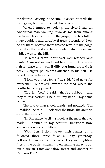the flat rock, drying in the sun. I glanced towards the farm gates, but the louts had disappeared.

When I turned to look up the river I saw an Aboriginal man walking towards me from among the trees. He came up from the gorge, which is full of huge boulders and scrubby ti-trees. I wondered how he got there, because there was no way into the gorge from the other end and he certainly hadn't passed me while I was on the hill.

He wore a brown shirt over well-washed long pants. A snakeskin headband held his thick, greying hair in place and a small dilly-bag hung around his neck. A bigger pouch was attached to his belt. He called to me as he came up.

'I followed those fellas,' he said. 'Bad news for everyone.' He waved towards the road where the youths had disappeared.

'Oh, Hi! Yes,' I said, 'they're yobbos – and they're trespassing.' I held out my hand, 'my name is Ben<sup>"</sup>

The native man shook hands and nodded. 'I'm Rimaldee' he said, 'I look after the birds, the animals – and the forests.'

'Hi Rimaldee. Well, just look at the mess they've made.' I pointed to my beautiful flagstones now smoke-blackened and littered.

'Well Ben. I don't know their names but I followed those three fellas all day yesterday. Followed them up from the coast. They were lighting fires in the bush – sneaky - then running away. I put out a fire in Tantawangalow forest and another at Captains Flat.'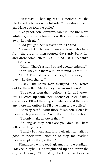'Arsonists? That figures!' I pointed to the blackened patches on the hillside. 'They should be in jail. Have you told the police?"

'No proof, son. Anyway, can't let the fire blaze while I go to the police station. Besides, they drove away in their ute.'

'Did you get their registration?' I asked.

'Some of it.' He bent down and took a dry twig from the ground, then scuffed the sandy bank flat and drew some letters. A C T  $*$  NG $*$  034. "A white utility' he said.

'Mmm. There's a number and a letter, missing?'

"Yer. They rub them out – with mud. Careful  $-$ "

'Huh! The old trick. It's illegal of course, but they take their chance.'

'Okay,' the native man shrugged. 'You watch out for them Ben. Maybe they live around here?'

'I've never seen them before, as far as I know. But I'll catch up with them sooner or later if they come back. I'll get their rego numbers and if there are any more fire outbreaks I'll give them to the police.'

'Be very careful with those fellas, son. Don't let them catch you interferin' with their number plates.'

'I'll only make a note of them.'

'So long as they don't see you doin' it. These fellas are dangerous.'

'I might be lucky and find their ute right after a good thunderstorm! Nothing to stop me reading their rego plates then, is there?'

Rimaldee's white teeth gleamed in the sunlight. 'Maybe. Maybe.' He straightened up and threw the dry stick away. 'I must go back to the forest –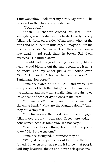Tantawangalow- look after my birds. My birds –' he repeated softly. His voice sounded sad.

'Your birds?'

'Yeah.' A shadow crossed his face. 'Birdsmugglers, son. Destroyin' my birds. Greedy bloody fellas.' He frowned darkly. 'Cruel men, who net the birds and hold them in little cages – maybe out in the open – no shade. No water. Then they sting them – like dead – and pack them in boxes. Sell them overseas.' He turned away.

I could feel his grief rolling over him, like a heavy cloud blotting out the sun. I could see it all as he spoke, and my anger just about boiled over. 'Shit!' I hissed. 'This is happening now? In Tantawangalow forest?'

Rimaldee stared at me. 'That – and worse. For every sweep of birds they take,' he looked away into the distance and I saw him swallowing his pain 'they leave heaps of dead or dying ones in the forest.'

'Oh my god!' I said, and I found my fists clenching hard. 'What are the Rangers doing? Can't they put a stop to it?'

'The Rangers do their best, Ben. Those smuggler fellas move around - real fast. Cages here today – gone someplace else tomorrow. It's not easy.'

'Can't we do something about it? Do the police know? Maybe the customs?'

Rimaldee shrugged. 'I suppose they do.'

'Well, if only people wouldn't buy them,' I fumed. But even as I was saying it I knew that people will buy beautiful things and never ask questions –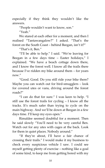especially if they think they wouldn't like the answers.

'People wouldn't want to know, son.'

"Yeah"

We stared at each other for a moment, and then I realised 'Tantawangalow?' I asked. 'That's the forest on the South Coast – behind Beegan, isn't it?'

'That's it, Ben.'

'I'll be able to help.' I said. 'We're leaving for Beegan in a few days time – Easter holidays,' I explained. 'We have a beach cottage down there, and I know the forest well. I know all the trails there because I've ridden my bike around them – for years now.'

'Good. Good. Do you still ride your bike there? Maybe you can watch out for bird-smugglers – look for covered utes or vans, driving around the forest roads?'

'I can do that for sure.' I was keen to help. 'I still use the forest trails for cycling – I know all the tracks. It's much safer than trying to cycle on the main highway. And we'll be down at Beegan in a few days time. I'll keep my eyes open.'

Rimaldee seemed doubtful for a moment. Then he said slowly 'You'll need to be very careful Ben. Watch out for any utes with cages at the back. Look for them in quiet places. Nobody around.'

'If they're about, I'll have a fair chance of crossing their trails.' I would make it my business to check every suspicious vehicle I saw. I could see myself getting plenty of exercise – nothing like a goal of some kind, to keep me from getting bored with my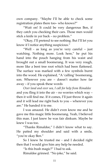own company. 'Maybe I'll be able to check some registration plates there too– who knows?'

'Wait on! It could be very dangerous Ben, if they catch you checking their cars. Those men would stick a knife in yer back – no problem.'

'Okay, I'll pretend to see nothing. But I'll let you know if I notice anything suspicious.'

'Well - as long as you're very careful – just watching. Nothing more. Look here,' he put his hand into the pouch hanging from his waist and brought out a small boomerang. It was very rough, more like a bent tree root which had been flattened. The surface was marked with a few symbols burnt into the wood. He explained, "A 'calling' boomerang, son. Wherever you are – doesn't matter how far away – if you speak these words

*Over land and over sea, I call for help from Rimaldee*  and you fling it into the air – no worries which way – then it will find me. If it comes, I'll just throw it again and it will lead me right back to you – wherever you are.' He handed it to me.

I was amazed. He didn't even know me and he gave me this magic little boomerang. Yeah, I believed this man. I just knew he was fair dinkum. Maybe he knew I was too.

'Thanks Rimaldee,' I didn't know what to say. He patted my shoulder and said with a smile, 'you're okay Ben.'

So I knew he trusted me - and I decided right then that I would give him any help he needed.

'Is this bush magic?' I had to ask.

Rimaldee grinned. 'No joke,' he said.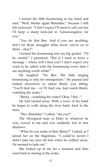I turned the little boomerang in my hand and said, "Well, thanks again Rimaldee," because I still felt awkward. 'I don't expect I'll need to call you but I'll keep a sharp look-out in Tantawangalow for you.'

'You do that Ben. And if you see anything, don't let those smuggler fellas know you're on to them – okay?'

I tucked the boomerang into my hip pocket. 'I'll be careful,' I promised. 'But if I need to leave a message – where will I find you? I don't expect you want to be called with the boomerang every time I see anything worth while!'

He laughed. 'No Ben. The little singing boomerang is only for emergencies.' He paused and looked downriver to where Bindy was sitting. 'You'll find me – or I'll find you. Just watch Bindy, watching the water.'

"Bindy – watching the water? Okay ? But  $-$ "

He had turned away. With a wave of his hand he began to walk along the river bank, back to the trees.

''Bye, Rimaldee' I called, 'see you?'

The Aboriginal man or Elder or whatever he was, waved to me and was suddenly lost in tree shadows.

'What do you make of that, Bindy?' I asked, as I joined her on the flagstones. 'I could've sworn I didn't take my eyes off him when he walked away. He seemed to fade out.'

She looked up at me for a moment and then went back to staring at the water.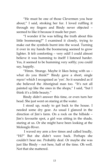'He must be one of those Clevermen you hear about,' I said, stroking her fur. I loved ruffling it through my fingers and Bindy never objected – seemed to like it because it made her purr.

'I wonder if he was telling the truth about this little boomerang?' I examined it closely, trying to make out the symbols burnt into the wood. Turning it over in my hands the boomerang seemed to grow lighter. It felt comforting – very odd! I could almost believe it was humming to itself! I listened harder. Yes, it seemed to be humming very softly; you could say, happily.

'Hmm. Strange. Maybe it likes being with us – what do you think?' Bindy gave a short, single *myow!* which I recognised as 'yes'. So it sounded as if she believed the Aboriginal man too. 'It's not all painted up like the ones in the shops," I said, "but I think it's a little beauty.'

Bindy didn't answer this time, or even turn her head. She just went on staring at the water.

I stood up, ready to get back to the house. I needed some dry gear. As usual I glanced in the direction of Jim's farm. On a rock on the hillside – Jim's favourite spot, a girl was sitting in the shade, staring at us. Or she might have been looking at the Molonglo River.

I waved my arm a few times and called loudly, 'Hi?' But she didn't wave back. Perhaps she couldn't hear me. Probably deaf. Or maybe she was just like Bindy – not here, half of the time. Oh well. Not that she mattered.